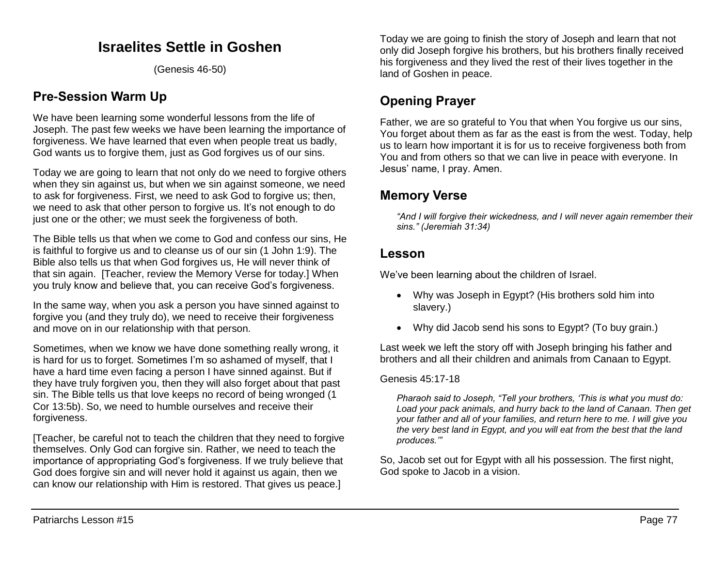## **Israelites Settle in Goshen**

(Genesis 46-50)

## **Pre-Session Warm Up**

We have been learning some wonderful lessons from the life of Joseph. The past few weeks we have been learning the importance of forgiveness. We have learned that even when people treat us badly, God wants us to forgive them, just as God forgives us of our sins.

Today we are going to learn that not only do we need to forgive others when they sin against us, but when we sin against someone, we need to ask for forgiveness. First, we need to ask God to forgive us; then, we need to ask that other person to forgive us. It's not enough to do just one or the other; we must seek the forgiveness of both.

The Bible tells us that when we come to God and confess our sins, He is faithful to forgive us and to cleanse us of our sin (1 John 1:9). The Bible also tells us that when God forgives us, He will never think of that sin again. [Teacher, review the Memory Verse for today.] When you truly know and believe that, you can receive God's forgiveness.

In the same way, when you ask a person you have sinned against to forgive you (and they truly do), we need to receive their forgiveness and move on in our relationship with that person.

Sometimes, when we know we have done something really wrong, it is hard for us to forget. Sometimes I'm so ashamed of myself, that I have a hard time even facing a person I have sinned against. But if they have truly forgiven you, then they will also forget about that past sin. The Bible tells us that love keeps no record of being wronged (1 Cor 13:5b). So, we need to humble ourselves and receive their forgiveness.

[Teacher, be careful not to teach the children that they need to forgive themselves. Only God can forgive sin. Rather, we need to teach the importance of appropriating God's forgiveness. If we truly believe that God does forgive sin and will never hold it against us again, then we can know our relationship with Him is restored. That gives us peace.]

Today we are going to finish the story of Joseph and learn that not only did Joseph forgive his brothers, but his brothers finally received his forgiveness and they lived the rest of their lives together in the land of Goshen in peace.

# **Opening Prayer**

Father, we are so grateful to You that when You forgive us our sins, You forget about them as far as the east is from the west. Today, help us to learn how important it is for us to receive forgiveness both from You and from others so that we can live in peace with everyone. In Jesus' name, I pray. Amen.

## **Memory Verse**

*"And I will forgive their wickedness, and I will never again remember their sins." (Jeremiah 31:34)*

### **Lesson**

We've been learning about the children of Israel.

- Why was Joseph in Egypt? (His brothers sold him into slavery.)
- Why did Jacob send his sons to Egypt? (To buy grain.)

Last week we left the story off with Joseph bringing his father and brothers and all their children and animals from Canaan to Egypt.

#### Genesis 45:17-18

*Pharaoh said to Joseph, "Tell your brothers, 'This is what you must do: Load your pack animals, and hurry back to the land of Canaan. Then get your father and all of your families, and return here to me. I will give you the very best land in Egypt, and you will eat from the best that the land produces.'"* 

So, Jacob set out for Egypt with all his possession. The first night, God spoke to Jacob in a vision.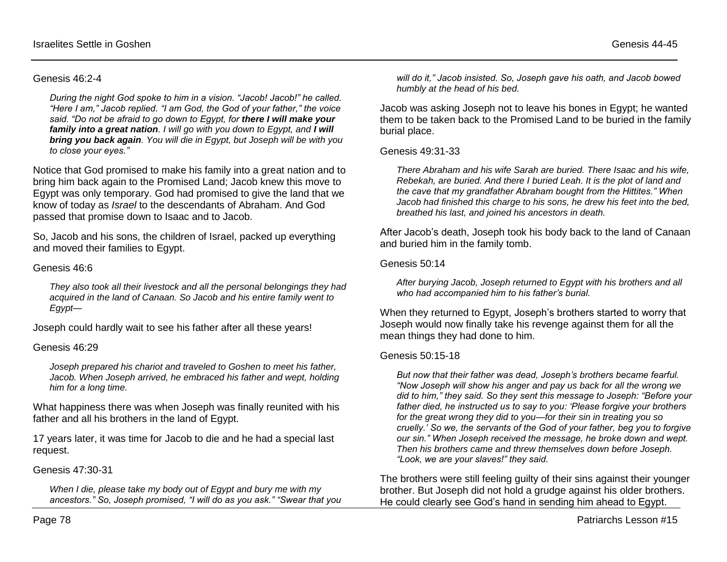#### Genesis 46:2-4

*During the night God spoke to him in a vision. "Jacob! Jacob!" he called. "Here I am," Jacob replied. "I am God, the God of your father," the voice said. "Do not be afraid to go down to Egypt, for there I will make your family into a great nation. I will go with you down to Egypt, and I will bring you back again. You will die in Egypt, but Joseph will be with you to close your eyes."*

Notice that God promised to make his family into a great nation and to bring him back again to the Promised Land; Jacob knew this move to Egypt was only temporary. God had promised to give the land that we know of today as *Israel* to the descendants of Abraham. And God passed that promise down to Isaac and to Jacob.

So, Jacob and his sons, the children of Israel, packed up everything and moved their families to Egypt.

#### Genesis 46:6

*They also took all their livestock and all the personal belongings they had acquired in the land of Canaan. So Jacob and his entire family went to Egypt—*

Joseph could hardly wait to see his father after all these years!

#### Genesis 46:29

*Joseph prepared his chariot and traveled to Goshen to meet his father,*  Jacob. When Joseph arrived, he embraced his father and wept, holding *him for a long time.* 

What happiness there was when Joseph was finally reunited with his father and all his brothers in the land of Egypt.

17 years later, it was time for Jacob to die and he had a special last request.

#### Genesis 47:30-31

*When I die, please take my body out of Egypt and bury me with my ancestors." So, Joseph promised, "I will do as you ask." "Swear that you* 

*will do it," Jacob insisted. So, Joseph gave his oath, and Jacob bowed humbly at the head of his bed.* 

Jacob was asking Joseph not to leave his bones in Egypt; he wanted them to be taken back to the Promised Land to be buried in the family burial place.

Genesis 49:31-33

*There Abraham and his wife Sarah are buried. There Isaac and his wife, Rebekah, are buried. And there I buried Leah. It is the plot of land and the cave that my grandfather Abraham bought from the Hittites." When Jacob had finished this charge to his sons, he drew his feet into the bed, breathed his last, and joined his ancestors in death.* 

After Jacob's death, Joseph took his body back to the land of Canaan and buried him in the family tomb.

#### Genesis 50:14

*After burying Jacob, Joseph returned to Egypt with his brothers and all who had accompanied him to his father's burial.*

When they returned to Egypt, Joseph's brothers started to worry that Joseph would now finally take his revenge against them for all the mean things they had done to him.

#### Genesis 50:15-18

*But now that their father was dead, Joseph's brothers became fearful. "Now Joseph will show his anger and pay us back for all the wrong we did to him," they said. So they sent this message to Joseph: "Before your father died, he instructed us to say to you: 'Please forgive your brothers for the great wrong they did to you—for their sin in treating you so cruelly.' So we, the servants of the God of your father, beg you to forgive our sin." When Joseph received the message, he broke down and wept. Then his brothers came and threw themselves down before Joseph. "Look, we are your slaves!" they said.* 

The brothers were still feeling guilty of their sins against their younger brother. But Joseph did not hold a grudge against his older brothers. He could clearly see God's hand in sending him ahead to Egypt.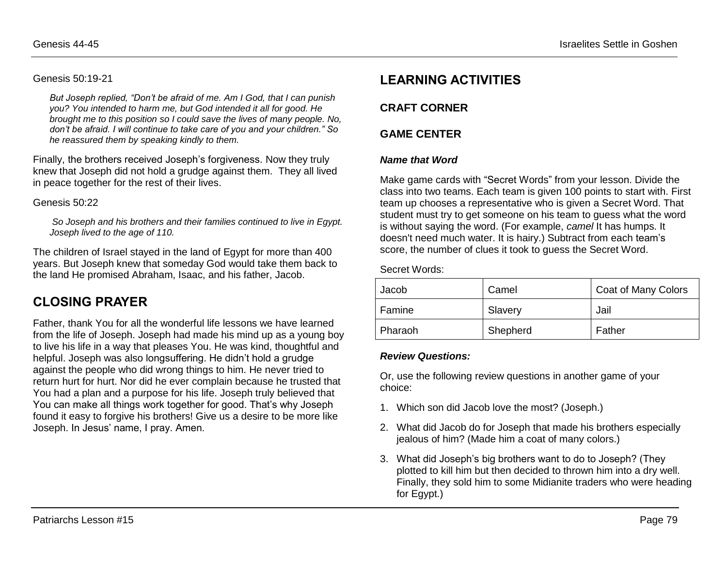#### Genesis 50:19-21

*But Joseph replied, "Don't be afraid of me. Am I God, that I can punish you? You intended to harm me, but God intended it all for good. He brought me to this position so I could save the lives of many people. No, don't be afraid. I will continue to take care of you and your children." So he reassured them by speaking kindly to them.*

Finally, the brothers received Joseph's forgiveness. Now they truly knew that Joseph did not hold a grudge against them. They all lived in peace together for the rest of their lives.

#### Genesis 50:22

*So Joseph and his brothers and their families continued to live in Egypt. Joseph lived to the age of 110.* 

The children of Israel stayed in the land of Egypt for more than 400 years. But Joseph knew that someday God would take them back to the land He promised Abraham, Isaac, and his father, Jacob.

## **CLOSING PRAYER**

Father, thank You for all the wonderful life lessons we have learned from the life of Joseph. Joseph had made his mind up as a young boy to live his life in a way that pleases You. He was kind, thoughtful and helpful. Joseph was also longsuffering. He didn't hold a grudge against the people who did wrong things to him. He never tried to return hurt for hurt. Nor did he ever complain because he trusted that You had a plan and a purpose for his life. Joseph truly believed that You can make all things work together for good. That's why Joseph found it easy to forgive his brothers! Give us a desire to be more like Joseph. In Jesus' name, I pray. Amen.

## **LEARNING ACTIVITIES**

### **CRAFT CORNER**

### **GAME CENTER**

#### *Name that Word*

Make game cards with "Secret Words" from your lesson. Divide the class into two teams. Each team is given 100 points to start with. First team up chooses a representative who is given a Secret Word. That student must try to get someone on his team to guess what the word is without saying the word. (For example, *camel* It has humps. It doesn't need much water. It is hairy.) Subtract from each team's score, the number of clues it took to guess the Secret Word.

Secret Words:

| Jacob   | Camel    | <b>Coat of Many Colors</b> |
|---------|----------|----------------------------|
| Famine  | Slavery  | Jail                       |
| Pharaoh | Shepherd | Father                     |

#### *Review Questions:*

Or, use the following review questions in another game of your choice:

- 1. Which son did Jacob love the most? (Joseph.)
- 2. What did Jacob do for Joseph that made his brothers especially jealous of him? (Made him a coat of many colors.)
- 3. What did Joseph's big brothers want to do to Joseph? (They plotted to kill him but then decided to thrown him into a dry well. Finally, they sold him to some Midianite traders who were heading for Egypt.)